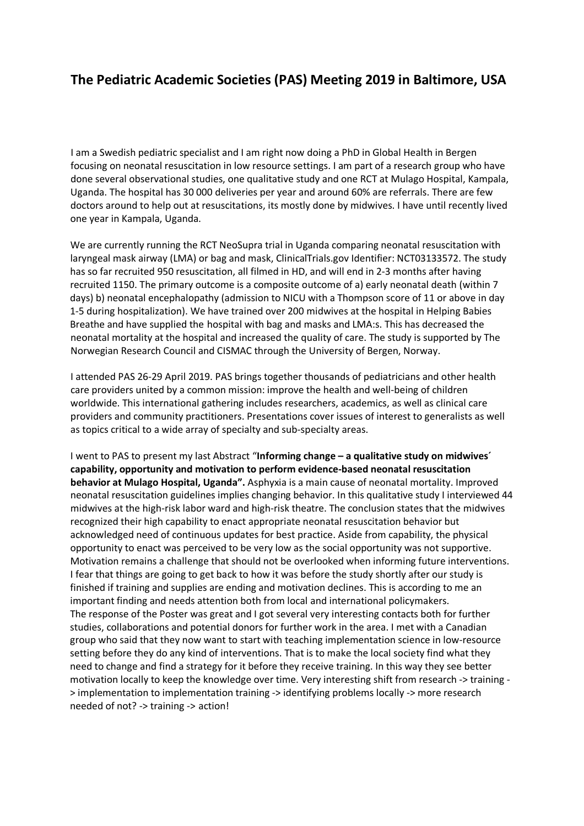## **The Pediatric Academic Societies (PAS) Meeting 2019 in Baltimore, USA**

I am a Swedish pediatric specialist and I am right now doing a PhD in Global Health in Bergen focusing on neonatal resuscitation in low resource settings. I am part of a research group who have done several observational studies, one qualitative study and one RCT at Mulago Hospital, Kampala, Uganda. The hospital has 30 000 deliveries per year and around 60% are referrals. There are few doctors around to help out at resuscitations, its mostly done by midwives. I have until recently lived one year in Kampala, Uganda.

We are currently running the RCT NeoSupra trial in Uganda comparing neonatal resuscitation with laryngeal mask airway (LMA) or bag and mask, ClinicalTrials.gov Identifier: NCT03133572. The study has so far recruited 950 resuscitation, all filmed in HD, and will end in 2-3 months after having recruited 1150. The primary outcome is a composite outcome of a) early neonatal death (within 7 days) b) neonatal encephalopathy (admission to NICU with a Thompson score of 11 or above in day 1-5 during hospitalization). We have trained over 200 midwives at the hospital in Helping Babies Breathe and have supplied the hospital with bag and masks and LMA:s. This has decreased the neonatal mortality at the hospital and increased the quality of care. The study is supported by The Norwegian Research Council and CISMAC through the University of Bergen, Norway.

I attended PAS 26-29 April 2019. PAS brings together thousands of pediatricians and other health care providers united by a common mission: improve the health and well-being of children worldwide. This international gathering includes researchers, academics, as well as clinical care providers and community practitioners. Presentations cover issues of interest to generalists as well as topics critical to a wide array of specialty and sub-specialty areas.

I went to PAS to present my last Abstract "**Informing change – a qualitative study on midwives´ capability, opportunity and motivation to perform evidence-based neonatal resuscitation behavior at Mulago Hospital, Uganda".** Asphyxia is a main cause of neonatal mortality. Improved neonatal resuscitation guidelines implies changing behavior. In this qualitative study I interviewed 44 midwives at the high-risk labor ward and high-risk theatre. The conclusion states that the midwives recognized their high capability to enact appropriate neonatal resuscitation behavior but acknowledged need of continuous updates for best practice. Aside from capability, the physical opportunity to enact was perceived to be very low as the social opportunity was not supportive. Motivation remains a challenge that should not be overlooked when informing future interventions. I fear that things are going to get back to how it was before the study shortly after our study is finished if training and supplies are ending and motivation declines. This is according to me an important finding and needs attention both from local and international policymakers. The response of the Poster was great and I got several very interesting contacts both for further studies, collaborations and potential donors for further work in the area. I met with a Canadian group who said that they now want to start with teaching implementation science in low-resource setting before they do any kind of interventions. That is to make the local society find what they need to change and find a strategy for it before they receive training. In this way they see better motivation locally to keep the knowledge over time. Very interesting shift from research -> training - > implementation to implementation training -> identifying problems locally -> more research needed of not? -> training -> action!